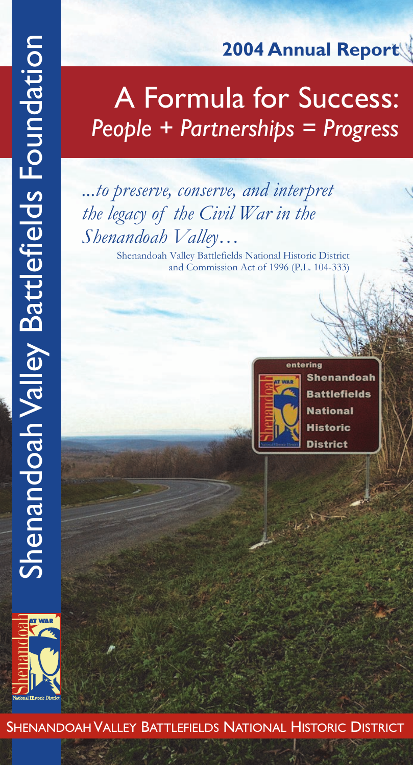# **2004 Annual Report**

# A Formula for Success: *People + Partnerships = Progress*

# *...to preserve, conserve, and interpret the legacy of the Civil War in the Shenandoah Valley…*

Shenandoah Valley Battlefields National Historic District and Commission Act of 1996 (P.L. 104-333)





Shenandoah Valley Battlefields Foundation

**Shenandoah Valley Battlefields Foundation** 

Shenandoah Valley Battlefields National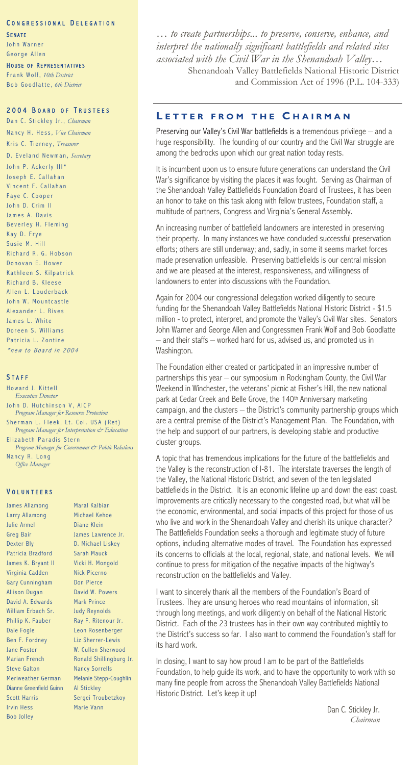#### CONGRESSIONAL DELEGATION

**SENATE** John Warner George Allen

#### HOUSE OF REPRESENTATIVES

Frank Wolf, *10th District* Bob Goodlatte, 6th District

#### **2004 BOARD OF TRUSTEES**

Dan C. Stickley Jr., *Chairman* N a n c y H . H e s s , *Vice Chairman* Kris C. Tierney, *Treasurer* D. Eveland Newman, *Secretary* John P. Ackerly III\* Joseph E. Callahan Vincent F. Callahan Faye C. Cooper John D. Crim II James A. Davis Beverley H. Fleming Kay D. Frye Susie M. Hill Richard R. G. Hobson Donovan E. Hower Kathleen S. Kilpatrick Richard B. Kleese Allen L. Louderback John W. Mountcastle Alexander L. Rives James L. White Doreen S. Williams Patricia L. Zontine \* new to Board in 2004

#### **STAFF**

Howard J. Kittell *Executive Director* John D. Hutchinson V, AICP *Program Manager for Resource Protection* Sherman L. Fleek, Lt. Col. USA (Ret) *Program Manager for Interpretation & Education* Elizabeth Paradis Stern *Program Manager for Government & Public Relations* Nancy R. Long *Office Manager*

#### V O L U N T E E R S

James Allamong Larry Allamong Julie Armel Greg Bair Dexter Bly Patricia Bradford James K. Bryant II Virginia Cadden Gary Cunningham Allison Dugan David A. Edwards William Erbach Sr. Phillip K. Fauber Dale Fogle Ben F. Fordney Jane Foster Marian French Steve Galton Meriweather German Dianne Greenfield Guinn Scott Harris Irvin Hess Bob Jolley

Maral Kalbian Michael Kehoe Diane Klein James Lawrence Jr. D. Michael Liskey Sarah Mauck Vicki H. Mongold Nick Picerno Don Pierce David W. Powers Mark Prince Judy Reynolds Ray F. Ritenour Jr. Leon Rosenberger Liz Sherrer-Lewis W. Cullen Sherwood Ronald Shillingburg Jr. Nancy Sorrells Melanie Stepp-Coughlin Al Stickley Sergei Troubetzkoy Marie Vann

*… to create partnerships... to preserve, conserve, enhance, and interpret the nationally significant battlefields and related sites associated with the Civil War in the Shenandoah Valley…* Shenandoah Valley Battlefields National Historic District and Commission Act of 1996 (P.L. 104-333)

#### **L E T T E R F R O M T H E C H A I R M A N**

Preserving our Valley's Civil War battlefields is a tremendous privilege – and a huge responsibility. The founding of our country and the Civil War struggle are among the bedrocks upon which our great nation today rests.

It is incumbent upon us to ensure future generations can understand the Civil War's significance by visiting the places it was fought. Serving as Chairman of the Shenandoah Valley Battlefields Foundation Board of Trustees, it has been an honor to take on this task along with fellow trustees, Foundation staff, a multitude of partners, Congress and Virginia's General Assembly.

An increasing number of battlefield landowners are interested in preserving their property. In many instances we have concluded successful preservation efforts; others are still underway; and, sadly, in some it seems market forces made preservation unfeasible. Preserving battlefields is our central mission and we are pleased at the interest, responsiveness, and willingness of landowners to enter into discussions with the Foundation.

Again for 2004 our congressional delegation worked diligently to secure funding for the Shenandoah Valley Battlefields National Historic District - \$1.5 million - to protect, interpret, and promote the Valley's Civil War sites. Senators John Warner and George Allen and Congressmen Frank Wolf and Bob Goodlatte – and their staffs – worked hard for us, advised us, and promoted us in Washington.

The Foundation either created or participated in an impressive number of partnerships this year – our symposium in Rockingham County, the Civil War Weekend in Winchester, the veterans' picnic at Fisher's Hill, the new national park at Cedar Creek and Belle Grove, the 140<sup>th</sup> Anniversary marketing campaign, and the clusters – the District's community partnership groups which are a central premise of the District's Management Plan. The Foundation, with the help and support of our partners, is developing stable and productive cluster groups.

A topic that has tremendous implications for the future of the battlefields and the Valley is the reconstruction of I-81. The interstate traverses the length of the Valley, the National Historic District, and seven of the ten legislated battlefields in the District. It is an economic lifeline up and down the east coast. Improvements are critically necessary to the congested road, but what will be the economic, environmental, and social impacts of this project for those of us who live and work in the Shenandoah Valley and cherish its unique character? The Battlefields Foundation seeks a thorough and legitimate study of future options, including alternative modes of travel. The Foundation has expressed its concerns to officials at the local, regional, state, and national levels. We will continue to press for mitigation of the negative impacts of the highway's reconstruction on the battlefields and Valley.

I want to sincerely thank all the members of the Foundation's Board of Trustees. They are unsung heroes who read mountains of information, sit through long meetings, and work diligently on behalf of the National Historic District. Each of the 23 trustees has in their own way contributed mightily to the District's success so far. I also want to commend the Foundation's staff for its hard work.

In closing, I want to say how proud I am to be part of the Battlefields Foundation, to help guide its work, and to have the opportunity to work with so many fine people from across the Shenandoah Valley Battlefields National Historic District. Let's keep it up!

> Dan C. Stickley Jr. *Chairman*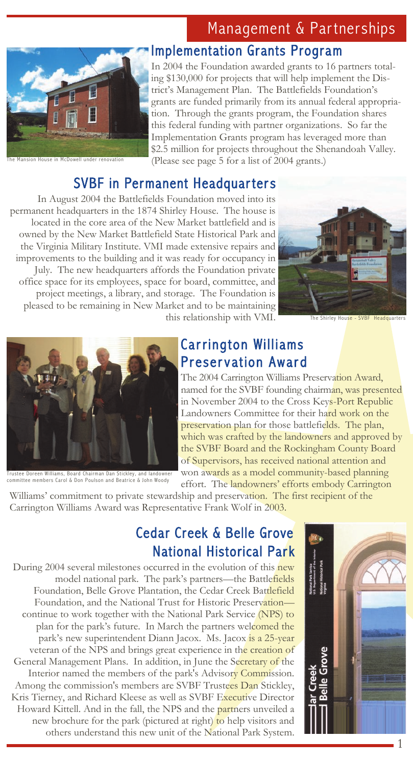# Management & Partnerships



House in McDowell under renovation

### Implementation Grants Program

In 2004 the Foundation awarded grants to 16 partners totaling \$130,000 for projects that will help implement the District's Management Plan. The Battlefields Foundation's grants are funded primarily from its annual federal appropriation. Through the grants program, the Foundation shares this federal funding with partner organizations. So far the Implementation Grants program has leveraged more than \$2.5 million for projects throughout the Shenandoah Valley. (Please see page 5 for a list of 2004 grants.)

## SVBF in Permanent Headquarters

In August 2004 the Battlefields Foundation moved into its permanent headquarters in the 1874 Shirley House. The house is located in the core area of the New Market battlefield and is owned by the New Market Battlefield State Historical Park and the Virginia Military Institute. VMI made extensive repairs and improvements to the building and it was ready for occupancy in July. The new headquarters affords the Foundation private office space for its employees, space for board, committee, and project meetings, a library, and storage. The Foundation is pleased to be remaining in New Market and to be maintaining this relationship with VMI.



The Shirley House - SVBF Headquarters



Trustee Doreen Williams, Board Chairman Dan Stickley, and landowner committee members Carol & Don Poulson and Beatrice & John Woody

### **Carrington Williams Preservation Award**

The 2004 Carrington Williams Preservation Award, named for the SVBF founding chairman, was presented in November 2004 to the Cross Keys-Port Republic Landowners Committee for their hard work on the preservation plan for those battlefields. The plan, which was crafted by the landowners and approved by the SVBF Board and the Rockingham County Board of Supervisors, has received national attention and won awards as a model community-based planning effort. The landowners' efforts embody Carrington

Williams' commitment to private stewardship and preservation. The first recipient of the Carrington Williams Award was Representative Frank Wolf in 2003.

### Cedar Creek & Belle Grove National Historical Park

During 2004 several milestones occurred in the evolution of this new model national park. The park's partners—the Battlefields Foundation, Belle Grove Plantation, the Cedar Creek Battlefield Foundation, and the National Trust for Historic Preservation continue to work together with the National Park Service (NPS) to plan for the park's future. In March the partners welcomed the park's new superintendent Diann Jacox. Ms. Jacox is a 25-year veteran of the NPS and brings great experience in the creation of General Management Plans. In addition, in June the Secretary of the Interior named the members of the park's Advisory Commission. Among the commission's members are SVBF Trustees Dan Stickley, Kris Tierney, and Richard Kleese as well as SVBF Executive Director Howard Kittell. And in the fall, the NPS and the partners unveiled a new brochure for the park (pictured at right) to help visitors and others understand this new unit of the National Park System.

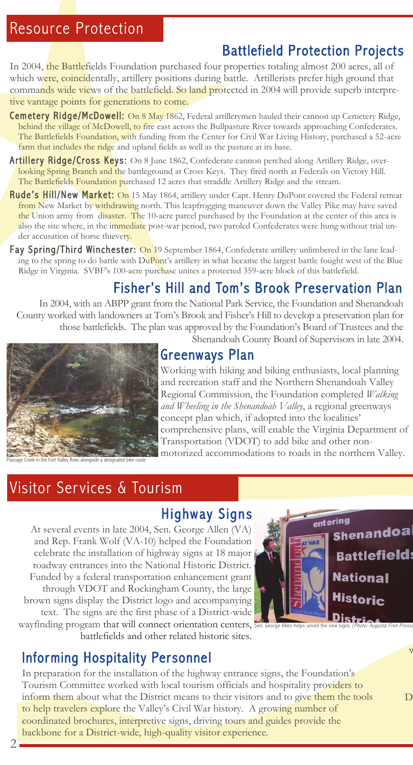## Battlefield Protection Projects

In 2004, the Battlefields Foundation purchased four properties totaling almost 200 acres, all of which were, coincidentally, artillery positions during battle. Artillerists prefer high ground that commands wide views of the battlefield. So land protected in 2004 will provide superb interpretive vantage points for generations to come.

- Cemetery Ridge/McDowell: On 8 May 1862, Federal artillerymen hauled their cannon up Cemetery Ridge, behind the village of McDowell, to fire east across the Bullpasture River towards approaching Confederates. The Battlefields Foundation, with funding from the Center for Civil War Living History, purchased a 52-acre farm that includes the ridge and upland fields as well as the pasture at its base.
- Artillery Ridge/Cross Keys: On 8 June 1862, Confederate cannon perched along Artillery Ridge, overlooking Spring Branch and the battleground at Cross Keys. They fired north at Federals on Victory Hill. The Battlefields Foundation purchased 12 acres that straddle Artillery Ridge and the stream.
- Rude's Hill/New Market: On 15 May 1864, artillery under Capt. Henry DuPont covered the Federal retreat from New Market by withdrawing north. This leapfrogging maneuver down the Valley Pike may have saved the Union army from disaster. The 10-acre parcel purchased by the Foundation at the center of this area is also the site where, in the immediate post-war period, two paroled Confederates were hung without trial under accusation of horse thievery.
- Fay Spring/Third Winchester: On 19 September 1864, Confederate artillery unlimbered in the lane leading to the spring to do battle with DuPont's artillery in what became the largest battle fought west of the Blue Ridge in Virginia. SVBF's 100-acre purchase unites a protected 359-acre block of this battlefield.

### Fisher's Hill and Tom's Brook Preser vation Plan

In 2004, with an ABPP grant from the National Park Service, the Foundation and Shenandoah County worked with landowners at Tom's Brook and Fisher's Hill to develop a preservation plan for those battlefields. The plan was approved by the Foundation's Board of Trustees and the



Shenandoah County Board of Supervisors in late 2004.

## Greenways Plan

Working with hiking and biking enthusiasts, local planning and recreation staff and the Northern Shenandoah Valley Regional Commission, the Foundation completed *Walking and Wheeling in the Shenandoah Valley*, a regional greenways concept plan which, if adopted into the localities' comprehensive plans, will enable the Virginia Department of Transportation (VDOT) to add bike and other nonmotorized accommodations to roads in the northern Valley.

# Visitor Ser vices & Tourism

**Highway Signs** 

At several events in late 2004, Sen. George Allen (VA) and Rep. Frank Wolf (VA-10) helped the Foundation celebrate the installation of highway signs at 18 major roadway entrances into the National Historic District. Funded by a federal transportation enhancement grant through VDOT and Rockingham County, the large brown signs display the District logo and accompanying text. The signs are the first phase of a District-wide wayfinding program that will connect orientation centers, battlefields and other related historic sites.



 $\overline{v}$ 

 $\overline{\mathrm{D}}$ 

Informing Hospitality Personnel

In preparation for the installation of the highway entrance signs, the Foundation's Tourism Committee worked with local tourism officials and hospitality providers to inform them about what the District means to their visitors and to give them the tools to help travelers explore the Valley's Civil War history. A growing number of coordinated brochures, interpretive signs, driving tours and guides provide the backbone for a District-wide, high-quality visitor experience.

 $2.1$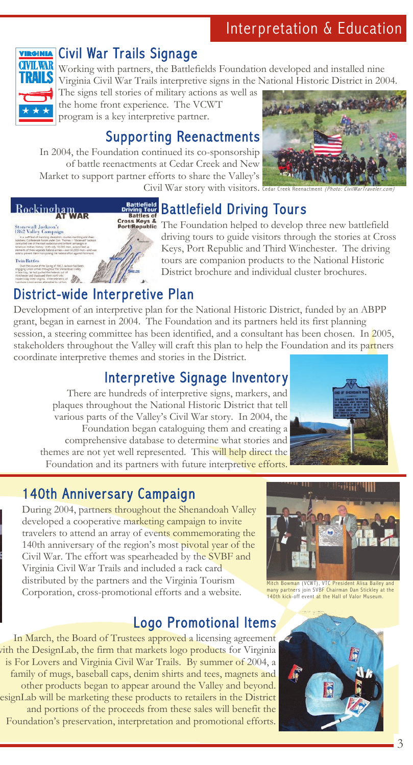

### Civil War Trails Signage

Working with partners, the Battlefields Foundation developed and installed nine Virginia Civil War Trails interpretive signs in the National Historic District in 2004.

The signs tell stories of military actions as well as the home front experience. The VCWT program is a key interpretive partner.

# Suppor ting Reenactments

In 2004, the Foundation continued its co-sponsorship of battle reenactments at Cedar Creek and New Market to support partner efforts to share the Valley's



Civil War story with visitors. Cedar Creek Reenactment (Photo: CivilWarTraveler.com)

# Battlefield Driving Tours

Rockingham .<br>Stonew<mark>all Jackson's</mark><br>1862 Valley Campai

Cross Keys & The Foundation helped to develop three new battlefield driving tours to guide visitors through the stories at Cross Keys, Port Republic and Third Winchester. The driving tours are companion products to the National Historic District brochure and individual cluster brochures.

# District-wide Interpretive Plan

Development of an interpretive plan for the National Historic District, funded by an ABPP grant, began in earnest in 2004. The Foundation and its partners held its first planning session, a steering committee has been identified, and a consultant has been chosen. In 2005, stakeholders throughout the Valley will craft this plan to help the Foundation and its partners coordinate interpretive themes and stories in the District.

# Interpretive Signage Inventory

There are hundreds of interpretive signs, markers, and plaques throughout the National Historic District that tell various parts of the Valley's Civil War story. In 2004, the Foundation began cataloguing them and creating a comprehensive database to determine what stories and themes are not yet well represented. This will help direct the Foundation and its partners with future interpretive efforts.



# 140th Anniversary Campaign

Sen. George Allen helps unveil the new signs (Photo: Augusta Free Press)

During 2004, partners throughout the Shenandoah Valley developed a cooperative marketing campaign to invite travelers to attend an array of events commemorating the 140th anniversary of the region's most pivotal year of the Civil War. The effort was spearheaded by the SVBF and Virginia Civil War Trails and included a rack card distributed by the partners and the Virginia Tourism Corporation, cross-promotional efforts and a website.

# Logo Promotional Items

In March, the Board of Trustees approved a licensing agreement with the DesignLab, the firm that markets logo products for Virginia is For Lovers and Virginia Civil War Trails. By summer of 2004, a family of mugs, baseball caps, denim shirts and tees, magnets and other products began to appear around the Valley and beyond. esignLab will be marketing these products to retailers in the District and portions of the proceeds from these sales will benefit the Foundation's preservation, interpretation and promotional efforts.



Mitch Bowm<mark>a</mark>n (VCWT), VTC <mark>President Alisa Bailey and</mark><br>many partners join SVBF Chairman Dan Stickley at the 140th kick-off event at the Hall of Valor Museum.

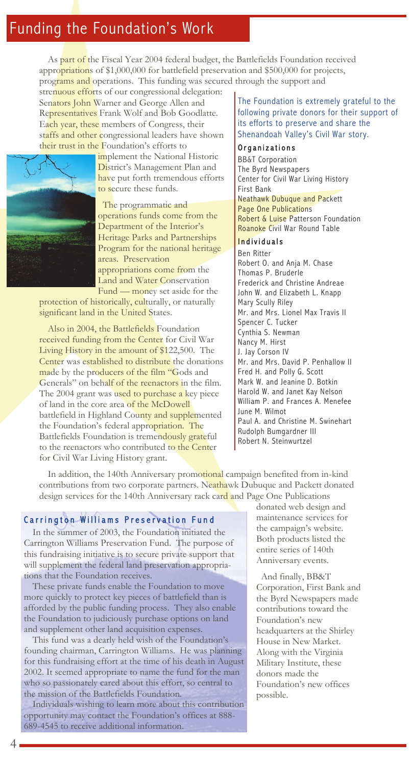# Funding the Foundation's Work

As part of the Fiscal Year 2004 federal budget, the Battlefields Foundation received appropriations of \$1,000,000 for battlefield preservation and \$500,000 for projects, programs and operations. This funding was secured through the support and

strenuous efforts of our congressional delegation: Senators John Warner and George Allen and Representatives Frank Wolf and Bob Goodlatte. Each year, these members of Congress, their staffs and other congressional leaders have shown their trust in the Foundation's efforts to



implement the National Historic District's Management Plan and have put forth tremendous efforts to secure these funds.

 The programmatic and operations funds come from the Department of the Interior's Heritage Parks and Partnerships Program for the national heritage areas. Preservation appropriations come from the Land and Water Conservation Fund — money set aside for the

protection of historically, culturally, or naturally significant land in the United States.

Also in 2004, the Battlefields Foundation received funding from the Center for Civil War Living History in the amount of \$122,500. The Center was established to distribute the donations made by the producers of the film "Gods and Generals" on behalf of the reenactors in the film. The 2004 grant was used to purchase a key piece of land in the core area of the McDowell battlefield in Highland County and supplemented the Foundation's federal appropriation. The Battlefields Foundation is tremendously grateful to the reenactors who contributed to the Center for Civil War Living History grant.

The Foundation is extremely grateful to the following private donors for their support of its efforts to preserve and share the Shenandoah Valley's Civil War story.

#### Organizations

BB&T Corporation The Byrd Newspapers Center for Civil War Living History First Bank Neathawk Dubuque and Packett Page One Publications Robert & Luise Patterson Foundation Roanoke Civil War Round Table

### Individuals

Ben Ritter Robert O. and Anja M. Chase Thomas P. Bruderle Frederick and Christine Andreae John W. and Elizabeth L. Knapp Mary Scully Riley Mr. and Mrs. Lionel Max Travis II Spencer C. Tucker Cynthia S. Newman Nancy M. Hirst J. Jay Corson IV Mr. and Mrs. David P. Penhallow II Fred H. and Polly G. Scott Mark W. and Jeanine D. Botkin Harold W. and Janet Kay Nelson William P. and Frances A. Menefee June M. Wilmot Paul A. and Christine M. Swinehart Rudolph Bumgardner III Robert N. Steinwurtzel

In addition, the 140th Anniversary promotional campaign benefited from in-kind contributions from two corporate partners. Neathawk Dubuque and Packett donated design services for the 140th Anniversary rack card and Page One Publications

### Carrington Williams Preservation Fund

In the summer of 2003, the Foundation initiated the Carrington Williams Preservation Fund. The purpose of this fundraising initiative is to secure private support that will supplement the federal land preservation appropriations that the Foundation receives.

These private funds enable the Foundation to move more quickly to protect key pieces of battlefield than is afforded by the public funding process. They also enable the Foundation to judiciously purchase options on land and supplement other land acquisition expenses.

This fund was a dearly held wish of the Foundation's founding chairman, Carrington Williams. He was planning for this fundraising effort at the time of his death in August 2002. It seemed appropriate to name the fund for the man who so passionately cared about this effort, so central to the mission of the Battlefields Foundation.

Individuals wishing to learn more about this contribution opportunity may contact the Foundation's offices at 888- 689-4545 to receive additional information.

donated web design and maintenance services for the campaign's website. Both products listed the entire series of 140th Anniversary events.

 And finally, BB&T Corporation, First Bank and the Byrd Newspapers made contributions toward the Foundation's new headquarters at the Shirley House in New Market. Along with the Virginia Military Institute, these donors made the Foundation's new offices possible.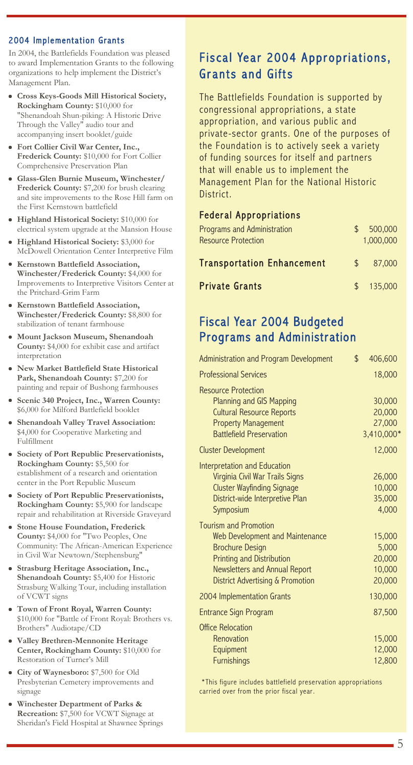#### 2004 Implementation Grants

In 2004, the Battlefields Foundation was pleased to award Implementation Grants to the following organizations to help implement the District's Management Plan.

- **Cross Keys-Goods Mill Historical Society, Rockingham County:** \$10,000 for "Shenandoah Shun-piking: A Historic Drive Through the Valley" audio tour and accompanying insert booklet/guide
- **Fort Collier Civil War Center, Inc., Frederick County:** \$10,000 for Fort Collier Comprehensive Preservation Plan
- **Glass-Glen Burnie Museum, Winchester/ Frederick County:** \$7,200 for brush clearing and site improvements to the Rose Hill farm on the First Kernstown battlefield
- **Highland Historical Society:** \$10,000 for electrical system upgrade at the Mansion House
- **Highland Historical Society:** \$3,000 for McDowell Orientation Center Interpretive Film
- **Kernstown Battlefield Association, Winchester/Frederick County:** \$4,000 for Improvements to Interpretive Visitors Center at the Pritchard-Grim Farm
- **Kernstown Battlefield Association, Winchester/Frederick County:** \$8,800 for stabilization of tenant farmhouse
- **Mount Jackson Museum, Shenandoah County:** \$4,000 for exhibit case and artifact interpretation
- **New Market Battlefield State Historical Park, Shenandoah County:** \$7,200 for painting and repair of Bushong farmhouses
- **Scenic 340 Project, Inc., Warren County:** \$6,000 for Milford Battlefield booklet
- **Shenandoah Valley Travel Association:** \$4,000 for Cooperative Marketing and Fulfillment
- **Society of Port Republic Preservationists, Rockingham County:** \$5,500 for establishment of a research and orientation center in the Port Republic Museum
- **Society of Port Republic Preservationists, Rockingham County:** \$5,900 for landscape repair and rehabilitation at Riverside Graveyard
- **Stone House Foundation, Frederick County:** \$4,000 for "Two Peoples, One Community: The African-American Experience in Civil War Newtown/Stephensburg"
- **Strasburg Heritage Association, Inc., Shenandoah County:** \$5,400 for Historic Strasburg Walking Tour, including installation of VCWT signs
- **Town of Front Royal, Warren County:** \$10,000 for "Battle of Front Royal: Brothers vs. Brothers" Audiotape/CD
- **Valley Brethren-Mennonite Heritage Center, Rockingham County:** \$10,000 for Restoration of Turner's Mill
- **City of Waynesboro:** \$7,500 for Old Presbyterian Cemetery improvements and signage
- **Winchester Department of Parks & Recreation:** \$7,500 for VCWT Signage at Sheridan's Field Hospital at Shawnee Springs

### Fiscal Year 2004 Appropriations, Grants and Gifts

The Battlefields Foundation is supported by congressional appropriations, a state appropriation, and various public and private-sector grants. One of the purposes of the Foundation is to actively seek a variety of funding sources for itself and partners that will enable us to implement the Management Plan for the National Historic District.

### Feder al Appropriations

| <b>Programs and Administration</b><br><b>Resource Protection</b> | \$.           | 500,000<br>1.000.000 |
|------------------------------------------------------------------|---------------|----------------------|
| <b>Transportation Enhancement</b>                                | $\mathcal{L}$ | 87,000               |
| <b>Private Grants</b>                                            | $\mathcal{S}$ | 135,000              |

### Fiscal Year 2004 Budgeted Programs and Administration

| Administration and Program Development                                                                                                                                                                        | \$<br>406,600                                 |
|---------------------------------------------------------------------------------------------------------------------------------------------------------------------------------------------------------------|-----------------------------------------------|
| <b>Professional Services</b>                                                                                                                                                                                  | 18,000                                        |
| <b>Resource Protection</b><br><b>Planning and GIS Mapping</b><br><b>Cultural Resource Reports</b><br><b>Property Management</b><br><b>Battlefield Preservation</b>                                            | 30,000<br>20,000<br>27,000<br>3,410,000*      |
| <b>Cluster Development</b>                                                                                                                                                                                    | 12,000                                        |
| Interpretation and Education<br>Virginia Civil War Trails Signs<br><b>Cluster Wayfinding Signage</b><br>District-wide Interpretive Plan<br>Symposium                                                          | 26,000<br>10,000<br>35,000<br>4,000           |
| <b>Tourism and Promotion</b><br>Web Development and Maintenance<br><b>Brochure Design</b><br><b>Printing and Distribution</b><br>Newsletters and Annual Report<br><b>District Advertising &amp; Promotion</b> | 15,000<br>5,000<br>20,000<br>10,000<br>20,000 |
| 2004 Implementation Grants                                                                                                                                                                                    | 130,000                                       |
| <b>Entrance Sign Program</b>                                                                                                                                                                                  | 87,500                                        |
| <b>Office Relocation</b><br>Renovation<br>Equipment<br><b>Furnishings</b>                                                                                                                                     | 15,000<br>12,000<br>12,800                    |

\*This figure includes battlefield preservation appropriations carried over from the prior fiscal year.